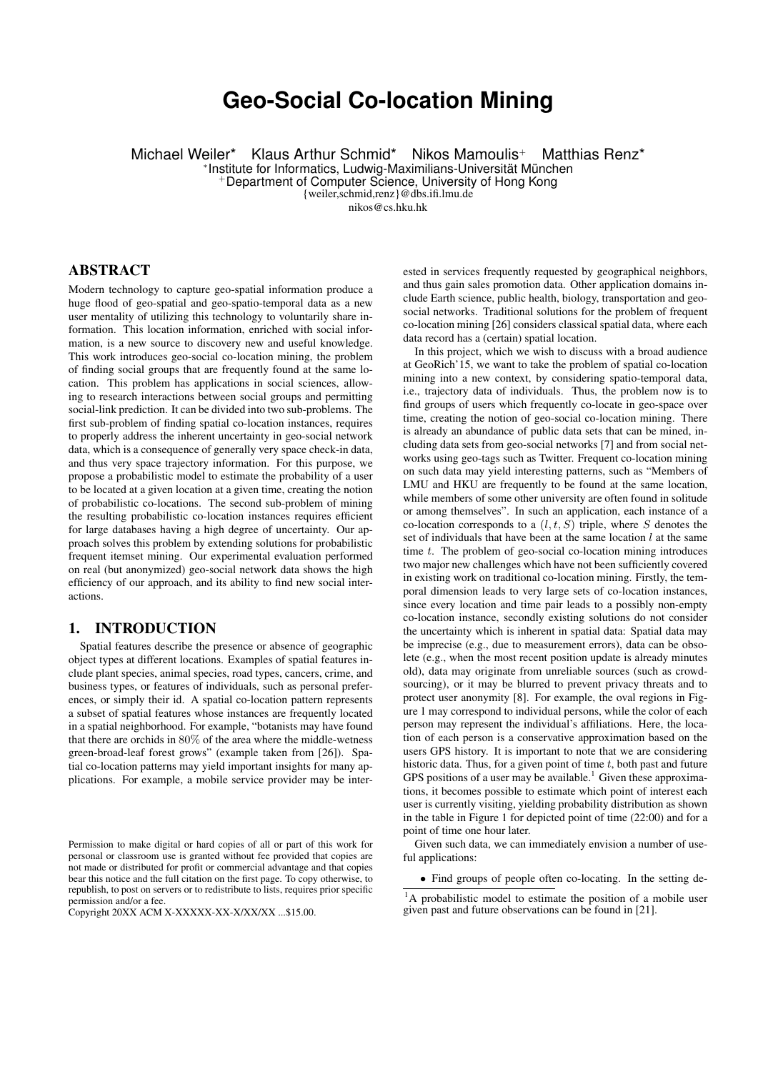# **Geo-Social Co-location Mining**

Michael Weiler\* Klaus Arthur Schmid\* Nikos Mamoulis+ Matthias Renz\*

∗ Institute for Informatics, Ludwig-Maximilians-Universität München

<sup>+</sup>Department of Computer Science, University of Hong Kong

{weiler,schmid,renz}@dbs.ifi.lmu.de

nikos@cs.hku.hk

# ABSTRACT

Modern technology to capture geo-spatial information produce a huge flood of geo-spatial and geo-spatio-temporal data as a new user mentality of utilizing this technology to voluntarily share information. This location information, enriched with social information, is a new source to discovery new and useful knowledge. This work introduces geo-social co-location mining, the problem of finding social groups that are frequently found at the same location. This problem has applications in social sciences, allowing to research interactions between social groups and permitting social-link prediction. It can be divided into two sub-problems. The first sub-problem of finding spatial co-location instances, requires to properly address the inherent uncertainty in geo-social network data, which is a consequence of generally very space check-in data, and thus very space trajectory information. For this purpose, we propose a probabilistic model to estimate the probability of a user to be located at a given location at a given time, creating the notion of probabilistic co-locations. The second sub-problem of mining the resulting probabilistic co-location instances requires efficient for large databases having a high degree of uncertainty. Our approach solves this problem by extending solutions for probabilistic frequent itemset mining. Our experimental evaluation performed on real (but anonymized) geo-social network data shows the high efficiency of our approach, and its ability to find new social interactions.

## 1. INTRODUCTION

Spatial features describe the presence or absence of geographic object types at different locations. Examples of spatial features include plant species, animal species, road types, cancers, crime, and business types, or features of individuals, such as personal preferences, or simply their id. A spatial co-location pattern represents a subset of spatial features whose instances are frequently located in a spatial neighborhood. For example, "botanists may have found that there are orchids in 80% of the area where the middle-wetness green-broad-leaf forest grows" (example taken from [26]). Spatial co-location patterns may yield important insights for many applications. For example, a mobile service provider may be interested in services frequently requested by geographical neighbors, and thus gain sales promotion data. Other application domains include Earth science, public health, biology, transportation and geosocial networks. Traditional solutions for the problem of frequent co-location mining [26] considers classical spatial data, where each data record has a (certain) spatial location.

In this project, which we wish to discuss with a broad audience at GeoRich'15, we want to take the problem of spatial co-location mining into a new context, by considering spatio-temporal data, i.e., trajectory data of individuals. Thus, the problem now is to find groups of users which frequently co-locate in geo-space over time, creating the notion of geo-social co-location mining. There is already an abundance of public data sets that can be mined, including data sets from geo-social networks [7] and from social networks using geo-tags such as Twitter. Frequent co-location mining on such data may yield interesting patterns, such as "Members of LMU and HKU are frequently to be found at the same location, while members of some other university are often found in solitude or among themselves". In such an application, each instance of a co-location corresponds to a  $(l, t, S)$  triple, where S denotes the set of individuals that have been at the same location  $l$  at the same time  $t$ . The problem of geo-social co-location mining introduces two major new challenges which have not been sufficiently covered in existing work on traditional co-location mining. Firstly, the temporal dimension leads to very large sets of co-location instances, since every location and time pair leads to a possibly non-empty co-location instance, secondly existing solutions do not consider the uncertainty which is inherent in spatial data: Spatial data may be imprecise (e.g., due to measurement errors), data can be obsolete (e.g., when the most recent position update is already minutes old), data may originate from unreliable sources (such as crowdsourcing), or it may be blurred to prevent privacy threats and to protect user anonymity [8]. For example, the oval regions in Figure 1 may correspond to individual persons, while the color of each person may represent the individual's affiliations. Here, the location of each person is a conservative approximation based on the users GPS history. It is important to note that we are considering historic data. Thus, for a given point of time  $t$ , both past and future GPS positions of a user may be available.<sup>1</sup> Given these approximations, it becomes possible to estimate which point of interest each user is currently visiting, yielding probability distribution as shown in the table in Figure 1 for depicted point of time (22:00) and for a point of time one hour later.

Given such data, we can immediately envision a number of useful applications:

• Find groups of people often co-locating. In the setting de-

Permission to make digital or hard copies of all or part of this work for personal or classroom use is granted without fee provided that copies are not made or distributed for profit or commercial advantage and that copies bear this notice and the full citation on the first page. To copy otherwise, to republish, to post on servers or to redistribute to lists, requires prior specific permission and/or a fee.

Copyright 20XX ACM X-XXXXX-XX-X/XX/XX ...\$15.00.

<sup>&</sup>lt;sup>1</sup>A probabilistic model to estimate the position of a mobile user given past and future observations can be found in [21].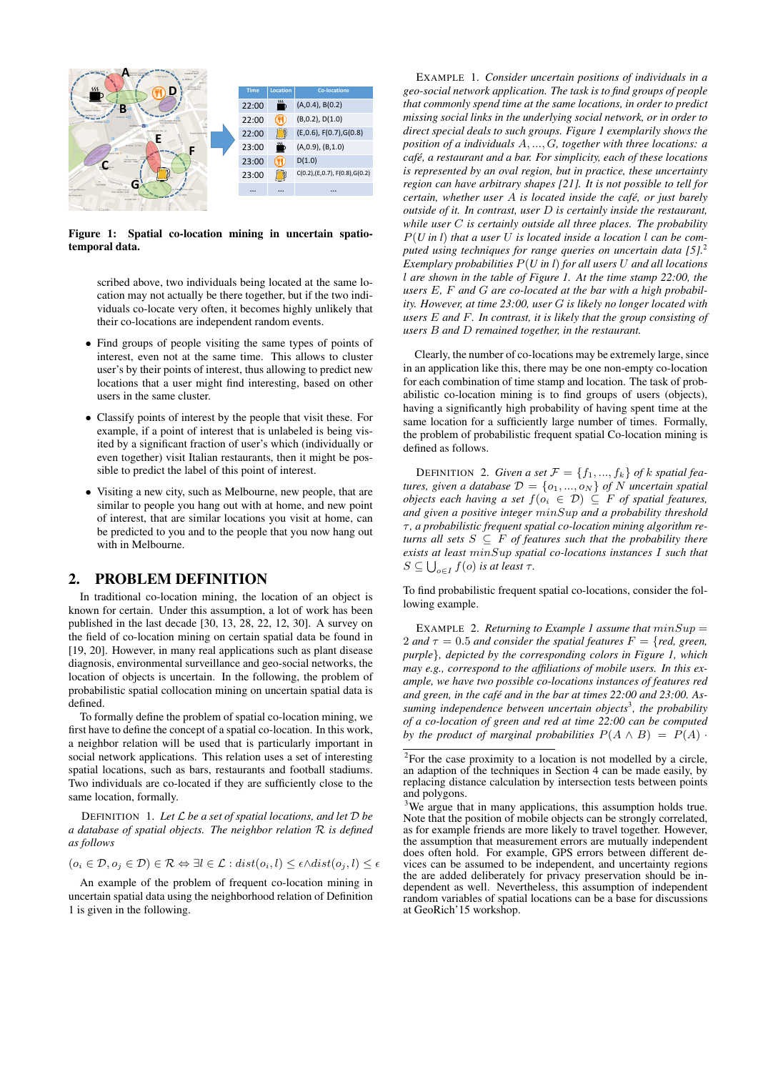

Figure 1: Spatial co-location mining in uncertain spatiotemporal data.

scribed above, two individuals being located at the same location may not actually be there together, but if the two individuals co-locate very often, it becomes highly unlikely that their co-locations are independent random events.

- Find groups of people visiting the same types of points of interest, even not at the same time. This allows to cluster user's by their points of interest, thus allowing to predict new locations that a user might find interesting, based on other users in the same cluster.
- Classify points of interest by the people that visit these. For example, if a point of interest that is unlabeled is being visited by a significant fraction of user's which (individually or even together) visit Italian restaurants, then it might be possible to predict the label of this point of interest.
- Visiting a new city, such as Melbourne, new people, that are similar to people you hang out with at home, and new point of interest, that are similar locations you visit at home, can be predicted to you and to the people that you now hang out with in Melbourne.

## 2. PROBLEM DEFINITION

In traditional co-location mining, the location of an object is known for certain. Under this assumption, a lot of work has been published in the last decade [30, 13, 28, 22, 12, 30]. A survey on the field of co-location mining on certain spatial data be found in [19, 20]. However, in many real applications such as plant disease diagnosis, environmental surveillance and geo-social networks, the location of objects is uncertain. In the following, the problem of probabilistic spatial collocation mining on uncertain spatial data is defined.

To formally define the problem of spatial co-location mining, we first have to define the concept of a spatial co-location. In this work, a neighbor relation will be used that is particularly important in social network applications. This relation uses a set of interesting spatial locations, such as bars, restaurants and football stadiums. Two individuals are co-located if they are sufficiently close to the same location, formally.

DEFINITION 1. *Let* L *be a set of spatial locations, and let* D *be a database of spatial objects. The neighbor relation* R *is defined as follows*

$$
(o_i \in \mathcal{D}, o_j \in \mathcal{D}) \in \mathcal{R} \Leftrightarrow \exists l \in \mathcal{L} : dist(o_i, l) \leq \epsilon \land dist(o_j, l) \leq \epsilon
$$

An example of the problem of frequent co-location mining in uncertain spatial data using the neighborhood relation of Definition 1 is given in the following.

EXAMPLE 1. *Consider uncertain positions of individuals in a geo-social network application. The task is to find groups of people that commonly spend time at the same locations, in order to predict missing social links in the underlying social network, or in order to direct special deals to such groups. Figure 1 exemplarily shows the position of a individuals* A, ..., G*, together with three locations: a café, a restaurant and a bar. For simplicity, each of these locations is represented by an oval region, but in practice, these uncertainty region can have arbitrary shapes [21]. It is not possible to tell for certain, whether user* A *is located inside the café, or just barely outside of it. In contrast, user* D *is certainly inside the restaurant, while user* C *is certainly outside all three places. The probability* P(*U in l*) *that a user* U *is located inside a location* l *can be computed using techniques for range queries on uncertain data [5].*<sup>2</sup> *Exemplary probabilities* P(*U in l*) *for all users* U *and all locations* l *are shown in the table of Figure 1. At the time stamp 22:00, the users* E*,* F *and* G *are co-located at the bar with a high probability. However, at time 23:00, user* G *is likely no longer located with users* E *and* F*. In contrast, it is likely that the group consisting of users* B *and* D *remained together, in the restaurant.*

Clearly, the number of co-locations may be extremely large, since in an application like this, there may be one non-empty co-location for each combination of time stamp and location. The task of probabilistic co-location mining is to find groups of users (objects), having a significantly high probability of having spent time at the same location for a sufficiently large number of times. Formally, the problem of probabilistic frequent spatial Co-location mining is defined as follows.

DEFINITION 2. *Given a set*  $\mathcal{F} = \{f_1, ..., f_k\}$  *of k spatial features, given a database*  $D = \{o_1, ..., o_N\}$  *of* N *uncertain spatial objects each having a set*  $f(o_i \in \mathcal{D}) \subseteq F$  *of spatial features, and given a positive integer* minSup *and a probability threshold* τ *, a probabilistic frequent spatial co-location mining algorithm returns all sets*  $S \subseteq F$  *of features such that the probability there exists at least* minSup *spatial co-locations instances* I *such that*  $S \subseteq \bigcup_{o \in I} f(o)$  *is at least*  $\tau$ *.* 

To find probabilistic frequent spatial co-locations, consider the following example.

EXAMPLE 2. *Returning to Example 1 assume that*  $minSup =$ 2 *and*  $\tau = 0.5$  *and consider the spatial features*  $F = \{ red, green,$ *purple*}*, depicted by the corresponding colors in Figure 1, which may e.g., correspond to the affiliations of mobile users. In this example, we have two possible co-locations instances of features red and green, in the café and in the bar at times 22:00 and 23:00. Assuming independence between uncertain objects*<sup>3</sup> *, the probability of a co-location of green and red at time 22:00 can be computed by the product of marginal probabilities*  $P(A \wedge B) = P(A)$ .

<sup>&</sup>lt;sup>2</sup>For the case proximity to a location is not modelled by a circle, an adaption of the techniques in Section 4 can be made easily, by replacing distance calculation by intersection tests between points and polygons.

<sup>&</sup>lt;sup>3</sup>We argue that in many applications, this assumption holds true. Note that the position of mobile objects can be strongly correlated, as for example friends are more likely to travel together. However, the assumption that measurement errors are mutually independent does often hold. For example, GPS errors between different devices can be assumed to be independent, and uncertainty regions the are added deliberately for privacy preservation should be independent as well. Nevertheless, this assumption of independent random variables of spatial locations can be a base for discussions at GeoRich'15 workshop.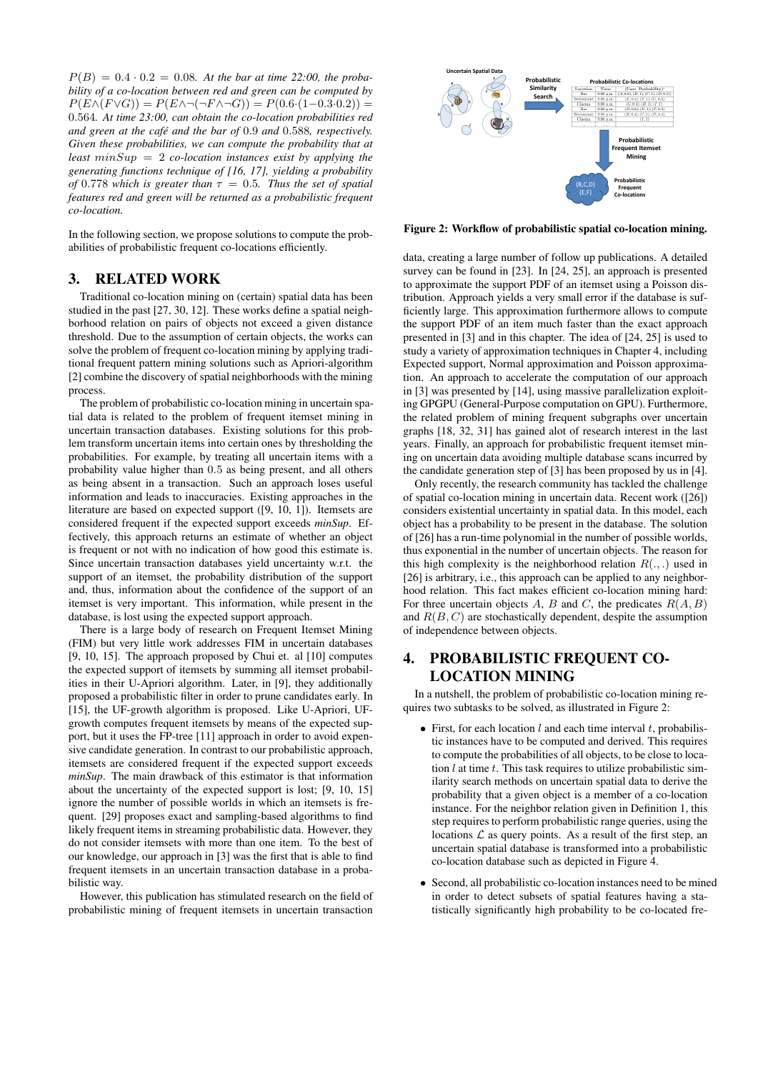$P(B) = 0.4 \cdot 0.2 = 0.08$ . At the bar at time 22:00, the proba*bility of a co-location between red and green can be computed by*  $P(E \wedge (F \vee G)) = P(E \wedge \neg (\neg F \wedge \neg G)) = P(0.6 \cdot (1 - 0.3 \cdot 0.2)) =$ 0.564*. At time 23:00, can obtain the co-location probabilities red and green at the café and the bar of* 0.9 *and* 0.588*, respectively. Given these probabilities, we can compute the probability that at least* minSup = 2 *co-location instances exist by applying the generating functions technique of [16, 17], yielding a probability of* 0.778 *which is greater than*  $\tau = 0.5$ *. Thus the set of spatial features red and green will be returned as a probabilistic frequent co-location.*

In the following section, we propose solutions to compute the probabilities of probabilistic frequent co-locations efficiently.

## 3. RELATED WORK

Traditional co-location mining on (certain) spatial data has been studied in the past [27, 30, 12]. These works define a spatial neighborhood relation on pairs of objects not exceed a given distance threshold. Due to the assumption of certain objects, the works can solve the problem of frequent co-location mining by applying traditional frequent pattern mining solutions such as Apriori-algorithm [2] combine the discovery of spatial neighborhoods with the mining process.

The problem of probabilistic co-location mining in uncertain spatial data is related to the problem of frequent itemset mining in uncertain transaction databases. Existing solutions for this problem transform uncertain items into certain ones by thresholding the probabilities. For example, by treating all uncertain items with a probability value higher than 0.5 as being present, and all others as being absent in a transaction. Such an approach loses useful information and leads to inaccuracies. Existing approaches in the literature are based on expected support ([9, 10, 1]). Itemsets are considered frequent if the expected support exceeds *minSup*. Effectively, this approach returns an estimate of whether an object is frequent or not with no indication of how good this estimate is. Since uncertain transaction databases yield uncertainty w.r.t. the support of an itemset, the probability distribution of the support and, thus, information about the confidence of the support of an itemset is very important. This information, while present in the database, is lost using the expected support approach.

There is a large body of research on Frequent Itemset Mining (FIM) but very little work addresses FIM in uncertain databases [9, 10, 15]. The approach proposed by Chui et. al [10] computes the expected support of itemsets by summing all itemset probabilities in their U-Apriori algorithm. Later, in [9], they additionally proposed a probabilistic filter in order to prune candidates early. In [15], the UF-growth algorithm is proposed. Like U-Apriori, UFgrowth computes frequent itemsets by means of the expected support, but it uses the FP-tree [11] approach in order to avoid expensive candidate generation. In contrast to our probabilistic approach, itemsets are considered frequent if the expected support exceeds *minSup*. The main drawback of this estimator is that information about the uncertainty of the expected support is lost; [9, 10, 15] ignore the number of possible worlds in which an itemsets is frequent. [29] proposes exact and sampling-based algorithms to find likely frequent items in streaming probabilistic data. However, they do not consider itemsets with more than one item. To the best of our knowledge, our approach in [3] was the first that is able to find frequent itemsets in an uncertain transaction database in a probabilistic way.

However, this publication has stimulated research on the field of probabilistic mining of frequent itemsets in uncertain transaction



Figure 2: Workflow of probabilistic spatial co-location mining.

data, creating a large number of follow up publications. A detailed survey can be found in [23]. In [24, 25], an approach is presented to approximate the support PDF of an itemset using a Poisson distribution. Approach yields a very small error if the database is sufficiently large. This approximation furthermore allows to compute the support PDF of an item much faster than the exact approach presented in [3] and in this chapter. The idea of [24, 25] is used to study a variety of approximation techniques in Chapter 4, including Expected support, Normal approximation and Poisson approximation. An approach to accelerate the computation of our approach in [3] was presented by [14], using massive parallelization exploiting GPGPU (General-Purpose computation on GPU). Furthermore, the related problem of mining frequent subgraphs over uncertain graphs [18, 32, 31] has gained alot of research interest in the last years. Finally, an approach for probabilistic frequent itemset mining on uncertain data avoiding multiple database scans incurred by the candidate generation step of [3] has been proposed by us in [4].

Only recently, the research community has tackled the challenge of spatial co-location mining in uncertain data. Recent work ([26]) considers existential uncertainty in spatial data. In this model, each object has a probability to be present in the database. The solution of [26] has a run-time polynomial in the number of possible worlds, thus exponential in the number of uncertain objects. The reason for this high complexity is the neighborhood relation  $R(.,.)$  used in [26] is arbitrary, i.e., this approach can be applied to any neighborhood relation. This fact makes efficient co-location mining hard: For three uncertain objects  $A$ ,  $B$  and  $C$ , the predicates  $R(A, B)$ and  $R(B, C)$  are stochastically dependent, despite the assumption of independence between objects.

# 4. PROBABILISTIC FREQUENT CO-LOCATION MINING

In a nutshell, the problem of probabilistic co-location mining requires two subtasks to be solved, as illustrated in Figure 2:

- First, for each location  $l$  and each time interval  $t$ , probabilistic instances have to be computed and derived. This requires to compute the probabilities of all objects, to be close to location  $l$  at time  $t$ . This task requires to utilize probabilistic similarity search methods on uncertain spatial data to derive the probability that a given object is a member of a co-location instance. For the neighbor relation given in Definition 1, this step requires to perform probabilistic range queries, using the locations  $\mathcal L$  as query points. As a result of the first step, an uncertain spatial database is transformed into a probabilistic co-location database such as depicted in Figure 4.
- Second, all probabilistic co-location instances need to be mined in order to detect subsets of spatial features having a statistically significantly high probability to be co-located fre-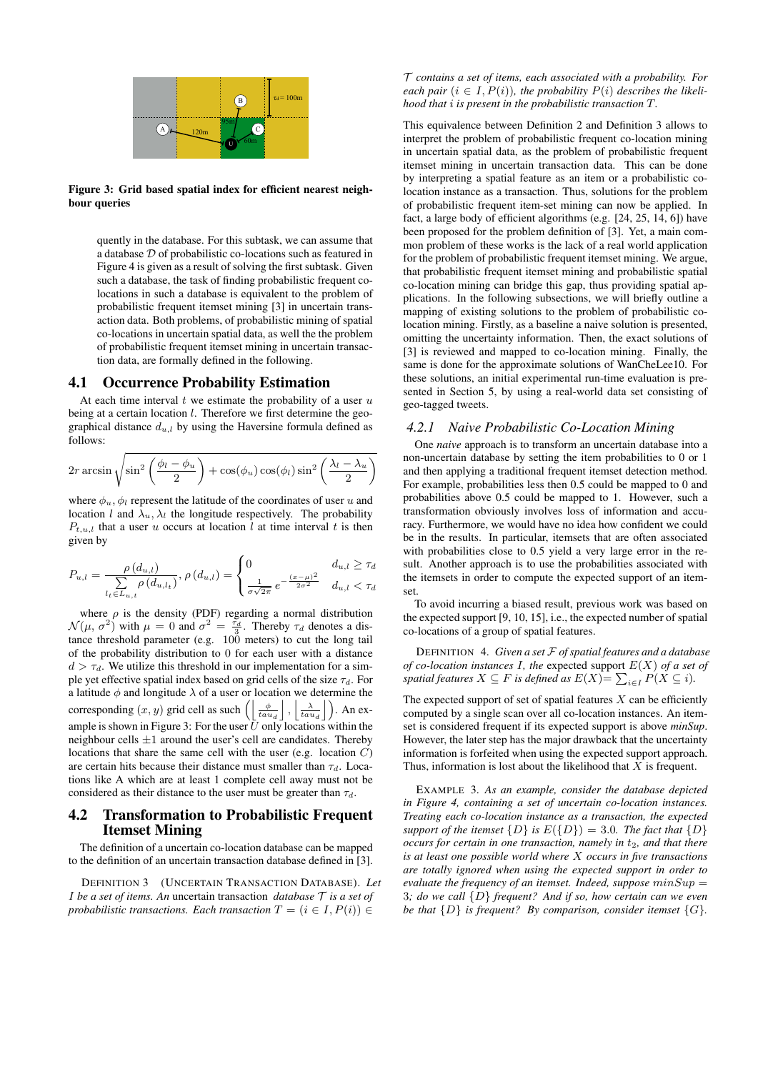

Figure 3: Grid based spatial index for efficient nearest neighbour queries

quently in the database. For this subtask, we can assume that a database D of probabilistic co-locations such as featured in Figure 4 is given as a result of solving the first subtask. Given such a database, the task of finding probabilistic frequent colocations in such a database is equivalent to the problem of probabilistic frequent itemset mining [3] in uncertain transaction data. Both problems, of probabilistic mining of spatial co-locations in uncertain spatial data, as well the the problem of probabilistic frequent itemset mining in uncertain transaction data, are formally defined in the following.

### 4.1 Occurrence Probability Estimation

At each time interval  $t$  we estimate the probability of a user  $u$ being at a certain location  $l$ . Therefore we first determine the geographical distance  $d_{u,l}$  by using the Haversine formula defined as follows:

$$
2r \arcsin \sqrt{\sin^2\left(\frac{\phi_l - \phi_u}{2}\right) + \cos(\phi_u)\cos(\phi_l)\sin^2\left(\frac{\lambda_l - \lambda_u}{2}\right)}
$$

where  $\phi_u$ ,  $\phi_l$  represent the latitude of the coordinates of user u and location l and  $\lambda_u$ ,  $\lambda_l$  the longitude respectively. The probability  $P_{t,u,l}$  that a user u occurs at location l at time interval t is then given by

$$
P_{u,l} = \frac{\rho(d_{u,l})}{\sum_{l_t \in L_{u,t}} \rho(d_{u,l_t})}, \rho(d_{u,l}) = \begin{cases} 0 & d_{u,l} \geq \tau_d \\ \frac{1}{\sigma\sqrt{2\pi}} e^{-\frac{(x-\mu)^2}{2\sigma^2}} & d_{u,l} < \tau_d \end{cases}
$$

where  $\rho$  is the density (PDF) regarding a normal distribution  $\mathcal{N}(\mu, \sigma^2)$  with  $\mu = 0$  and  $\sigma^2 = \frac{\tau_d}{3}$ . Thereby  $\tau_d$  denotes a distance threshold parameter (e.g. 100 meters) to cut the long tail of the probability distribution to 0 for each user with a distance  $d > \tau_d$ . We utilize this threshold in our implementation for a simple yet effective spatial index based on grid cells of the size  $\tau_d$ . For a latitude  $\phi$  and longitude  $\lambda$  of a user or location we determine the corresponding  $(x, y)$  grid cell as such  $\left( \left| \frac{\phi}{tau} \right|, \left| \frac{\lambda}{tau} \right| \right)$ . An example is shown in Figure 3: For the user  $\overrightarrow{U}$  only locations within the neighbour cells  $\pm 1$  around the user's cell are candidates. Thereby locations that share the same cell with the user (e.g. location  $C$ ) are certain hits because their distance must smaller than  $\tau_d$ . Locations like A which are at least 1 complete cell away must not be considered as their distance to the user must be greater than  $\tau_d$ .

### 4.2 Transformation to Probabilistic Frequent Itemset Mining

The definition of a uncertain co-location database can be mapped to the definition of an uncertain transaction database defined in [3].

DEFINITION 3 (UNCERTAIN TRANSACTION DATABASE). *Let* I *be a set of items. An* uncertain transaction *database* T *is a set of probabilistic transactions. Each transaction*  $T = (i \in I, P(i)) \in$ 

T *contains a set of items, each associated with a probability. For each pair*  $(i \in I, P(i))$ *, the probability*  $P(i)$  *describes the likelihood that* i *is present in the probabilistic transaction* T*.*

This equivalence between Definition 2 and Definition 3 allows to interpret the problem of probabilistic frequent co-location mining in uncertain spatial data, as the problem of probabilistic frequent itemset mining in uncertain transaction data. This can be done by interpreting a spatial feature as an item or a probabilistic colocation instance as a transaction. Thus, solutions for the problem of probabilistic frequent item-set mining can now be applied. In fact, a large body of efficient algorithms (e.g. [24, 25, 14, 6]) have been proposed for the problem definition of [3]. Yet, a main common problem of these works is the lack of a real world application for the problem of probabilistic frequent itemset mining. We argue, that probabilistic frequent itemset mining and probabilistic spatial co-location mining can bridge this gap, thus providing spatial applications. In the following subsections, we will briefly outline a mapping of existing solutions to the problem of probabilistic colocation mining. Firstly, as a baseline a naive solution is presented, omitting the uncertainty information. Then, the exact solutions of [3] is reviewed and mapped to co-location mining. Finally, the same is done for the approximate solutions of WanCheLee10. For these solutions, an initial experimental run-time evaluation is presented in Section 5, by using a real-world data set consisting of geo-tagged tweets.

#### *4.2.1 Naive Probabilistic Co-Location Mining*

One *naive* approach is to transform an uncertain database into a non-uncertain database by setting the item probabilities to 0 or 1 and then applying a traditional frequent itemset detection method. For example, probabilities less then 0.5 could be mapped to 0 and probabilities above 0.5 could be mapped to 1. However, such a transformation obviously involves loss of information and accuracy. Furthermore, we would have no idea how confident we could be in the results. In particular, itemsets that are often associated with probabilities close to 0.5 yield a very large error in the result. Another approach is to use the probabilities associated with the itemsets in order to compute the expected support of an itemset.

To avoid incurring a biased result, previous work was based on the expected support [9, 10, 15], i.e., the expected number of spatial co-locations of a group of spatial features.

DEFINITION 4. *Given a set* F *of spatial features and a database of co-location instances* I*, the* expected support E(X) *of a set of* spatial features  $X \subseteq F$  is defined as  $E(X)$   $=$   $\sum_{i \in I} P(X \subseteq i)$ .

The expected support of set of spatial features  $X$  can be efficiently computed by a single scan over all co-location instances. An itemset is considered frequent if its expected support is above *minSup*. However, the later step has the major drawback that the uncertainty information is forfeited when using the expected support approach. Thus, information is lost about the likelihood that  $X$  is frequent.

EXAMPLE 3. *As an example, consider the database depicted in Figure 4, containing a set of uncertain co-location instances. Treating each co-location instance as a transaction, the expected support of the itemset*  $\{D\}$  *is*  $E(\{D\}) = 3.0$ *. The fact that*  $\{D\}$ *occurs for certain in one transaction, namely in*  $t_2$ *, and that there is at least one possible world where* X *occurs in five transactions are totally ignored when using the expected support in order to evaluate the frequency of an itemset. Indeed, suppose*  $minSup$ 3*; do we call* {D} *frequent? And if so, how certain can we even be that*  $\{D\}$  *is frequent? By comparison, consider itemset*  $\{G\}$ *.*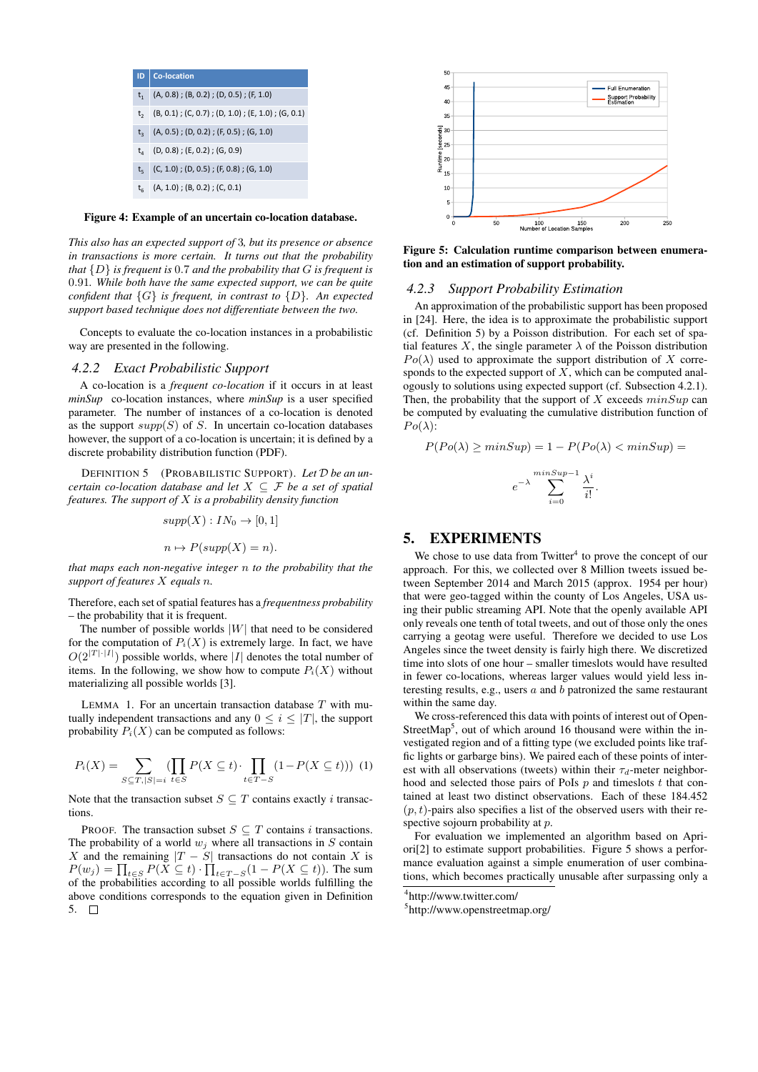

Figure 4: Example of an uncertain co-location database.

*This also has an expected support of* 3*, but its presence or absence in transactions is more certain. It turns out that the probability that* {D} *is frequent is* 0.7 *and the probability that* G *is frequent is* 0.91*. While both have the same expected support, we can be quite confident that* {G} *is frequent, in contrast to* {D}*. An expected support based technique does not differentiate between the two.*

Concepts to evaluate the co-location instances in a probabilistic way are presented in the following.

#### *4.2.2 Exact Probabilistic Support*

A co-location is a *frequent co-location* if it occurs in at least *minSup* co-location instances, where *minSup* is a user specified parameter. The number of instances of a co-location is denoted as the support  $supp(S)$  of S. In uncertain co-location databases however, the support of a co-location is uncertain; it is defined by a discrete probability distribution function (PDF).

DEFINITION 5 (PROBABILISTIC SUPPORT). *Let* D *be an uncertain co-location database and let* X ⊆ F *be a set of spatial features. The support of* X *is a probability density function*

$$
supp(X): IN_0 \to [0,1]
$$

$$
n \mapsto P(supp(X) = n).
$$

*that maps each non-negative integer* n *to the probability that the support of features* X *equals* n*.*

Therefore, each set of spatial features has a *frequentness probability* – the probability that it is frequent.

The number of possible worlds  $|W|$  that need to be considered for the computation of  $P_i(X)$  is extremely large. In fact, we have  $O(2^{|T| \cdot |I|})$  possible worlds, where |I| denotes the total number of items. In the following, we show how to compute  $P_i(X)$  without materializing all possible worlds [3].

LEMMA 1. For an uncertain transaction database  $T$  with mutually independent transactions and any  $0 \leq i \leq |T|$ , the support probability  $P_i(X)$  can be computed as follows:

$$
P_i(X) = \sum_{S \subseteq T, |S| = i} \left( \prod_{t \in S} P(X \subseteq t) \cdot \prod_{t \in T - S} (1 - P(X \subseteq t)) \right) (1)
$$

Note that the transaction subset  $S \subseteq T$  contains exactly i transactions.

PROOF. The transaction subset  $S \subseteq T$  contains *i* transactions. The probability of a world  $w_i$  where all transactions in S contain X and the remaining  $|T - S|$  transactions do not contain X is  $P(w_j) = \prod_{t \in S} P(X \subseteq t) \cdot \prod_{t \in T-S} (1 - P(X \subseteq t))$ . The sum of the probabilities according to all possible worlds fulfilling the above conditions corresponds to the equation given in Definition 5.  $\Box$ 



Figure 5: Calculation runtime comparison between enumeration and an estimation of support probability.

#### *4.2.3 Support Probability Estimation*

An approximation of the probabilistic support has been proposed in [24]. Here, the idea is to approximate the probabilistic support (cf. Definition 5) by a Poisson distribution. For each set of spatial features X, the single parameter  $\lambda$  of the Poisson distribution  $Po(\lambda)$  used to approximate the support distribution of X corresponds to the expected support of  $X$ , which can be computed analogously to solutions using expected support (cf. Subsection 4.2.1). Then, the probability that the support of X exceeds  $minSup$  can be computed by evaluating the cumulative distribution function of  $Po(\lambda)$ :

$$
P(Po(\lambda) \ge minSup) = 1 - P(Po(\lambda) < minSup) =
$$

$$
e^{-\lambda} \sum_{i=0}^{\min Sup-1} \frac{\lambda^i}{i!}.
$$

#### 5. EXPERIMENTS

We chose to use data from Twitter $4$  to prove the concept of our approach. For this, we collected over 8 Million tweets issued between September 2014 and March 2015 (approx. 1954 per hour) that were geo-tagged within the county of Los Angeles, USA using their public streaming API. Note that the openly available API only reveals one tenth of total tweets, and out of those only the ones carrying a geotag were useful. Therefore we decided to use Los Angeles since the tweet density is fairly high there. We discretized time into slots of one hour – smaller timeslots would have resulted in fewer co-locations, whereas larger values would yield less interesting results, e.g., users  $a$  and  $b$  patronized the same restaurant within the same day.

We cross-referenced this data with points of interest out of Open-StreetMap<sup>5</sup>, out of which around 16 thousand were within the investigated region and of a fitting type (we excluded points like traffic lights or garbarge bins). We paired each of these points of interest with all observations (tweets) within their  $\tau_d$ -meter neighborhood and selected those pairs of PoIs  $p$  and timeslots  $t$  that contained at least two distinct observations. Each of these 184.452  $(p, t)$ -pairs also specifies a list of the observed users with their respective sojourn probability at p.

For evaluation we implemented an algorithm based on Apriori[2] to estimate support probabilities. Figure 5 shows a performance evaluation against a simple enumeration of user combinations, which becomes practically unusable after surpassing only a

5 http://www.openstreetmap.org/

<sup>4</sup> http://www.twitter.com/